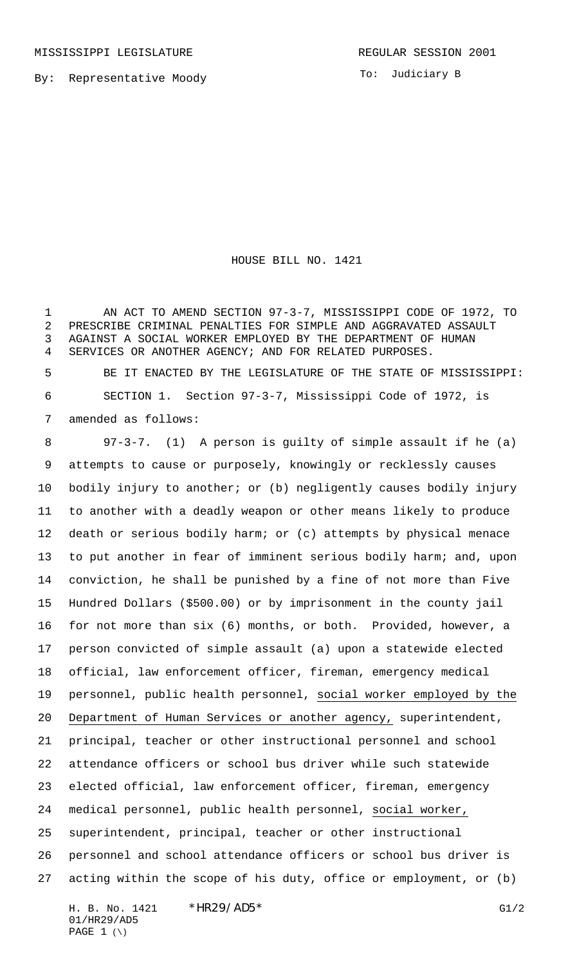By: Representative Moody

To: Judiciary B

HOUSE BILL NO. 1421

1 AN ACT TO AMEND SECTION 97-3-7, MISSISSIPPI CODE OF 1972, TO PRESCRIBE CRIMINAL PENALTIES FOR SIMPLE AND AGGRAVATED ASSAULT AGAINST A SOCIAL WORKER EMPLOYED BY THE DEPARTMENT OF HUMAN SERVICES OR ANOTHER AGENCY; AND FOR RELATED PURPOSES.

 BE IT ENACTED BY THE LEGISLATURE OF THE STATE OF MISSISSIPPI: SECTION 1. Section 97-3-7, Mississippi Code of 1972, is amended as follows:

 97-3-7. (1) A person is guilty of simple assault if he (a) attempts to cause or purposely, knowingly or recklessly causes bodily injury to another; or (b) negligently causes bodily injury to another with a deadly weapon or other means likely to produce death or serious bodily harm; or (c) attempts by physical menace to put another in fear of imminent serious bodily harm; and, upon conviction, he shall be punished by a fine of not more than Five Hundred Dollars (\$500.00) or by imprisonment in the county jail for not more than six (6) months, or both. Provided, however, a person convicted of simple assault (a) upon a statewide elected official, law enforcement officer, fireman, emergency medical personnel, public health personnel, social worker employed by the Department of Human Services or another agency, superintendent, principal, teacher or other instructional personnel and school attendance officers or school bus driver while such statewide elected official, law enforcement officer, fireman, emergency medical personnel, public health personnel, social worker, superintendent, principal, teacher or other instructional personnel and school attendance officers or school bus driver is acting within the scope of his duty, office or employment, or (b)

H. B. No. 1421 \*HR29/AD5\* G1/2 01/HR29/AD5 PAGE  $1 (\setminus)$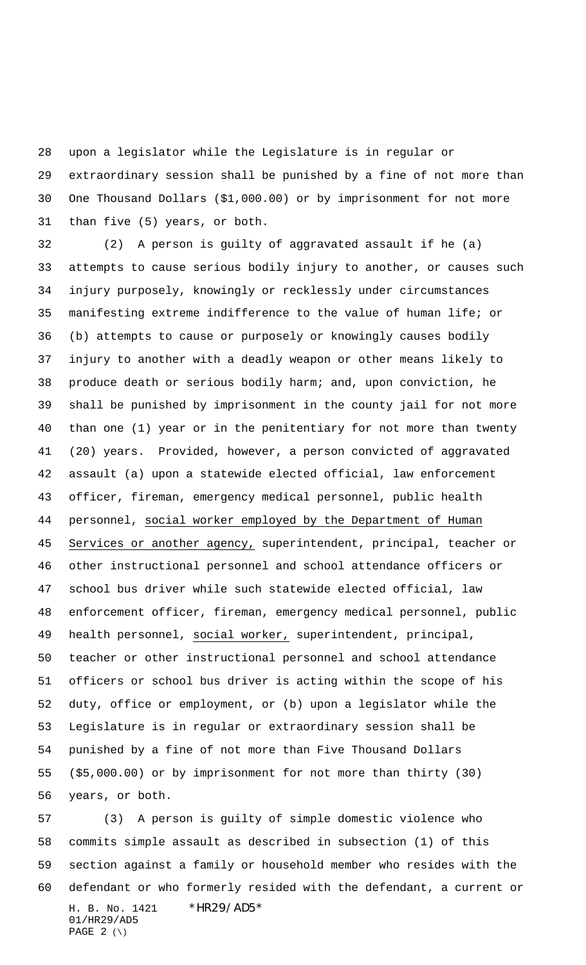upon a legislator while the Legislature is in regular or extraordinary session shall be punished by a fine of not more than One Thousand Dollars (\$1,000.00) or by imprisonment for not more than five (5) years, or both.

 (2) A person is guilty of aggravated assault if he (a) attempts to cause serious bodily injury to another, or causes such injury purposely, knowingly or recklessly under circumstances manifesting extreme indifference to the value of human life; or (b) attempts to cause or purposely or knowingly causes bodily injury to another with a deadly weapon or other means likely to produce death or serious bodily harm; and, upon conviction, he shall be punished by imprisonment in the county jail for not more than one (1) year or in the penitentiary for not more than twenty (20) years. Provided, however, a person convicted of aggravated assault (a) upon a statewide elected official, law enforcement officer, fireman, emergency medical personnel, public health personnel, social worker employed by the Department of Human 45 Services or another agency, superintendent, principal, teacher or other instructional personnel and school attendance officers or school bus driver while such statewide elected official, law enforcement officer, fireman, emergency medical personnel, public health personnel, social worker, superintendent, principal, teacher or other instructional personnel and school attendance officers or school bus driver is acting within the scope of his duty, office or employment, or (b) upon a legislator while the Legislature is in regular or extraordinary session shall be punished by a fine of not more than Five Thousand Dollars (\$5,000.00) or by imprisonment for not more than thirty (30) years, or both.

H. B. No. 1421 \*HR29/AD5\* 01/HR29/AD5 PAGE  $2 (\setminus)$  (3) A person is guilty of simple domestic violence who commits simple assault as described in subsection (1) of this section against a family or household member who resides with the defendant or who formerly resided with the defendant, a current or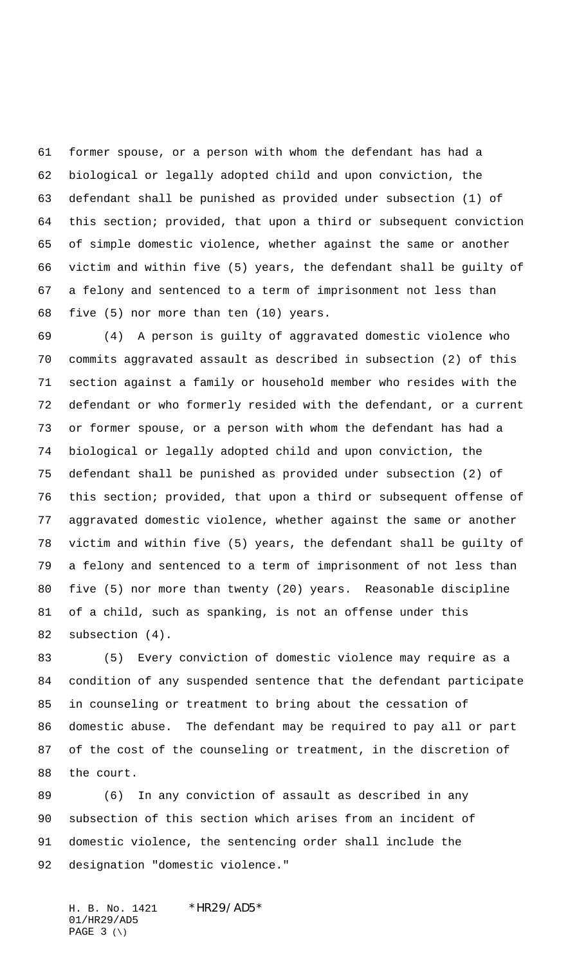former spouse, or a person with whom the defendant has had a biological or legally adopted child and upon conviction, the defendant shall be punished as provided under subsection (1) of this section; provided, that upon a third or subsequent conviction of simple domestic violence, whether against the same or another victim and within five (5) years, the defendant shall be guilty of a felony and sentenced to a term of imprisonment not less than five (5) nor more than ten (10) years.

 (4) A person is guilty of aggravated domestic violence who commits aggravated assault as described in subsection (2) of this section against a family or household member who resides with the defendant or who formerly resided with the defendant, or a current or former spouse, or a person with whom the defendant has had a biological or legally adopted child and upon conviction, the defendant shall be punished as provided under subsection (2) of this section; provided, that upon a third or subsequent offense of aggravated domestic violence, whether against the same or another victim and within five (5) years, the defendant shall be guilty of a felony and sentenced to a term of imprisonment of not less than five (5) nor more than twenty (20) years. Reasonable discipline of a child, such as spanking, is not an offense under this subsection (4).

 (5) Every conviction of domestic violence may require as a condition of any suspended sentence that the defendant participate in counseling or treatment to bring about the cessation of domestic abuse. The defendant may be required to pay all or part of the cost of the counseling or treatment, in the discretion of the court.

 (6) In any conviction of assault as described in any subsection of this section which arises from an incident of domestic violence, the sentencing order shall include the designation "domestic violence."

H. B. No. 1421 \* HR29/AD5\* 01/HR29/AD5 PAGE (\)